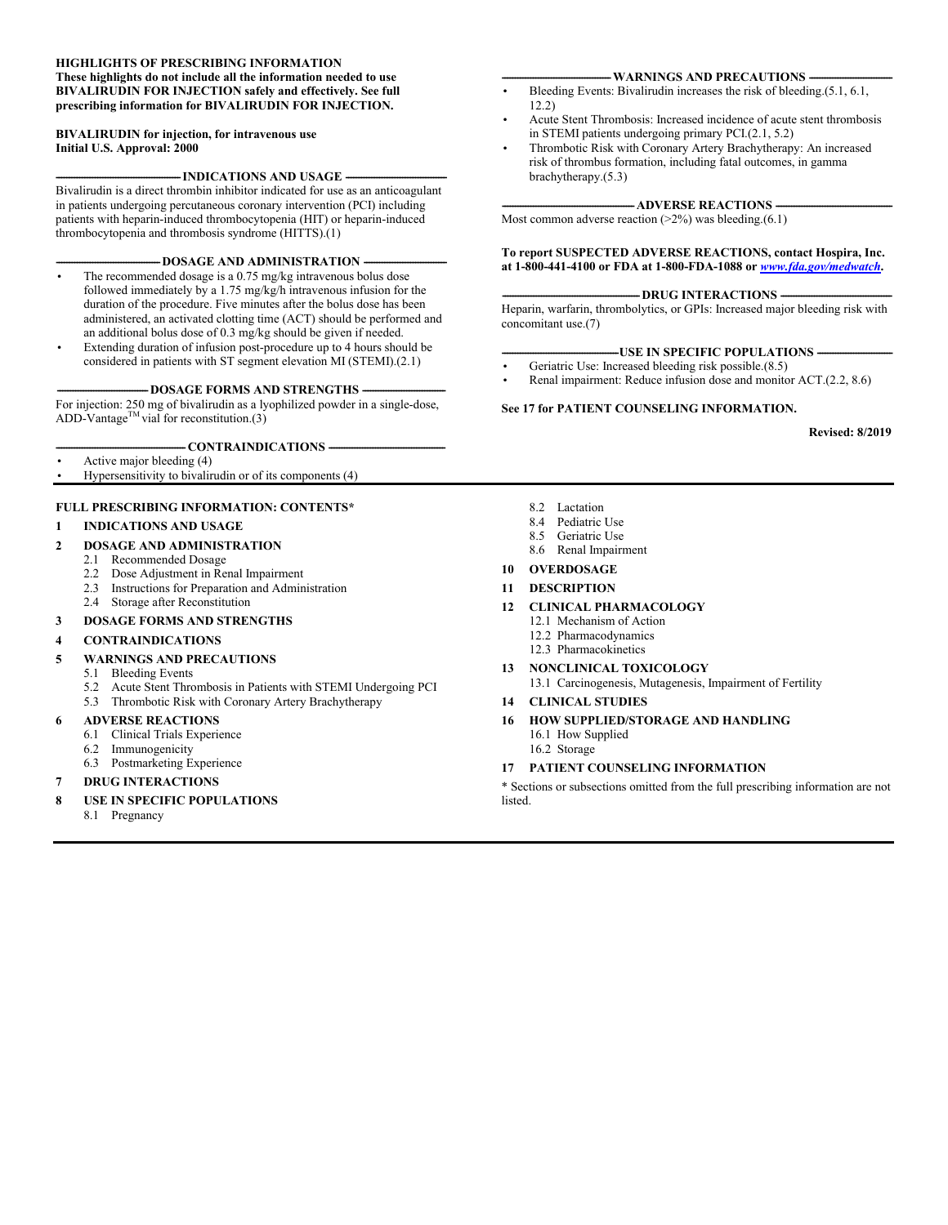#### **HIGHLIGHTS OF PRESCRIBING INFORMATION These highlights do not include all the information needed to use BIVALIRUDIN FOR INJECTION safely and effectively. See full prescribing information for BIVALIRUDIN FOR INJECTION.**

#### **BIVALIRUDIN for injection, for intravenous use Initial U.S. Approval: 2000**

-**INDICATIONS AND USAGE -**

Bivalirudin is a direct thrombin inhibitor indicated for use as an anticoagulant in patients undergoing percutaneous coronary intervention (PCI) including patients with heparin-induced thrombocytopenia (HIT) or heparin-induced thrombocytopenia and thrombosis syndrome (HITTS).(1)

#### -DOSAGE AND ADMINISTRATION

- The recommended dosage is a 0.75 mg/kg intravenous bolus dose followed immediately by a 1.75 mg/kg/h intravenous infusion for the duration of the procedure. Five minutes after the bolus dose has been administered, an activated clotting time (ACT) should be performed and an additional bolus dose of 0.3 mg/kg should be given if needed.
- Extending duration of infusion post-procedure up to 4 hours should be considered in patients with ST segment elevation MI (STEMI).(2.1)

#### -DOSAGE FORMS AND STRENGTHS -

For injection: 250 mg of bivalirudin as a lyophilized powder in a single-dose, ADD-Vantage<sup>TM</sup> vial for reconstitution.(3)

#### -CONTRAINDICATIONS --

- Active major bleeding (4)
- Hypersensitivity to bivalirudin or of its components (4)

#### **FULL PRESCRIBING INFORMATION: CONTENTS\***

#### **1 INDICATIONS AND USAGE**

#### **2 DOSAGE AND ADMINISTRATION**

- 2.1 Recommended Dosage
- 2.2 Dose Adjustment in Renal Impairment
- 2.3 Instructions for Preparation and Administration
- 2.4 Storage after Reconstitution

#### **3 DOSAGE FORMS AND STRENGTHS**

#### **4 CONTRAINDICATIONS**

#### **5 WARNINGS AND PRECAUTIONS**

- 5.1 Bleeding Events
- 5.2 Acute Stent Thrombosis in Patients with STEMI Undergoing PCI
- 5.3 Thrombotic Risk with Coronary Artery Brachytherapy

#### **6 ADVERSE REACTIONS**

- 6.1 Clinical Trials Experience
- 6.2 Immunogenicity
- 6.3 Postmarketing Experience

#### **7 DRUG INTERACTIONS**

- **8 USE IN SPECIFIC POPULATIONS**
	- 8.1 Pregnancy

#### **WARNINGS AND PRECAUTIONS -**

- Bleeding Events: Bivalirudin increases the risk of bleeding.(5.1, 6.1, 12.2)
- Acute Stent Thrombosis: Increased incidence of acute stent thrombosis in STEMI patients undergoing primary PCI.(2.1, 5.2)
- Thrombotic Risk with Coronary Artery Brachytherapy: An increased risk of thrombus formation, including fatal outcomes, in gamma brachytherapy.(5.3)

#### **-ADVERSE REACTIONS -**

Most common adverse reaction  $(2\%)$  was bleeding. $(6.1)$ 

**To report SUSPECTED ADVERSE REACTIONS, contact Hospira, Inc. at 1-800-441-4100 or FDA at 1-800-FDA-1088 or** *[www.fda.gov/medwatch](http://www.fda.gov/medwatch)***.**

#### - DRUG INTERACTIONS **-**

Heparin, warfarin, thrombolytics, or GPIs: Increased major bleeding risk with concomitant use.(7)

#### **-USE IN SPECIFIC POPULATIONS -**

- Geriatric Use: Increased bleeding risk possible.(8.5)
- Renal impairment: Reduce infusion dose and monitor ACT.(2.2, 8.6)

#### **See 17 for PATIENT COUNSELING INFORMATION.**

**Revised: 8/2019**

- 8.2 Lactation
- 8.4 Pediatric Use
- 8.5 Geriatric Use
- 8.6 Renal Impairment
- **10 OVERDOSAGE**
- **11 DESCRIPTION**
- **12 CLINICAL PHARMACOLOGY**
	- 12.1 Mechanism of Action
	- 12.2 Pharmacodynamics
	- 12.3 Pharmacokinetics
- **13 NONCLINICAL TOXICOLOGY**  13.1 Carcinogenesis, Mutagenesis, Impairment of Fertility

#### **14 CLINICAL STUDIES**

- **16 HOW SUPPLIED/STORAGE AND HANDLING** 16.1 How Supplied
	- 16.2 Storage

#### **17 PATIENT COUNSELING INFORMATION**

\* Sections or subsections omitted from the full prescribing information are not **listed**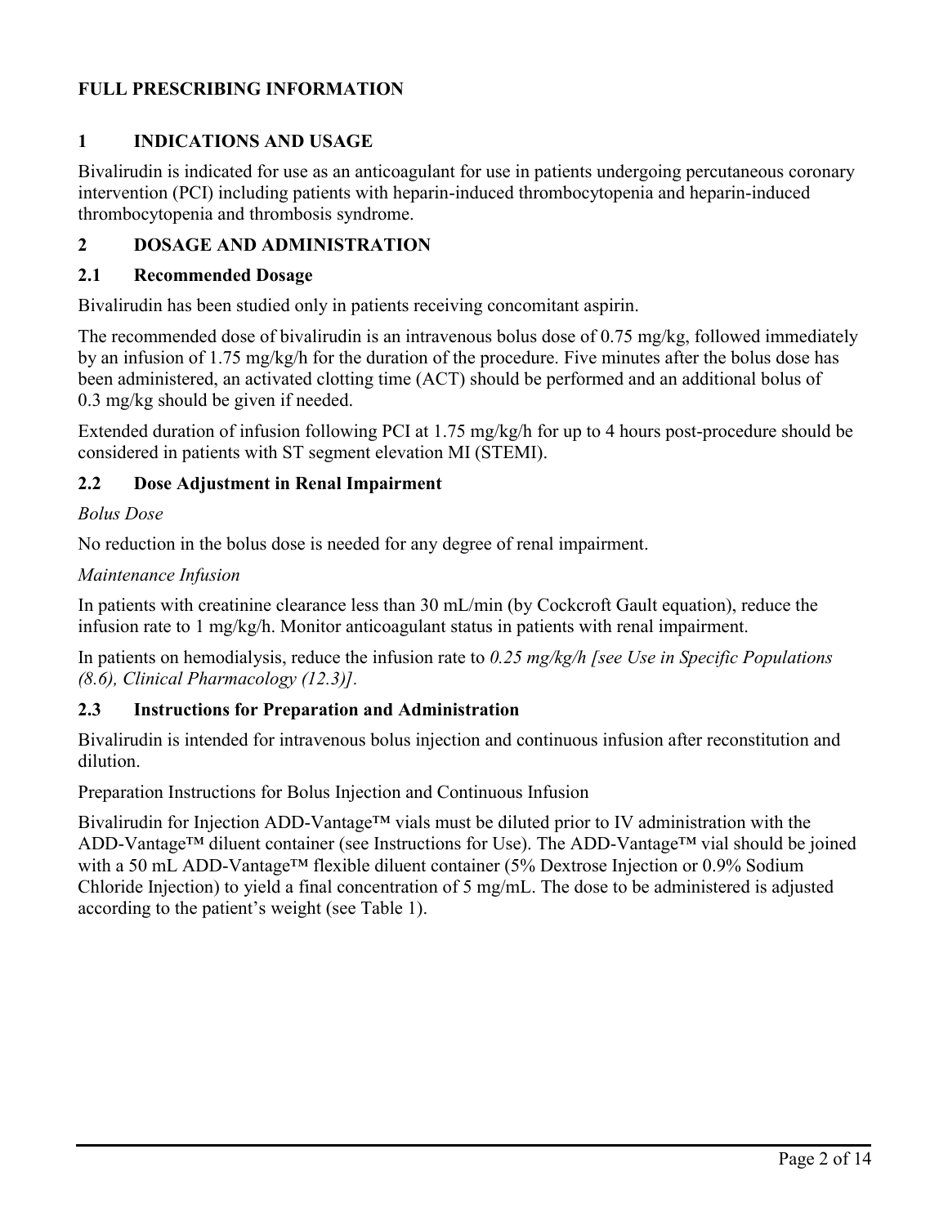# **FULL PRESCRIBING INFORMATION**

# **1 INDICATIONS AND USAGE**

Bivalirudin is indicated for use as an anticoagulant for use in patients undergoing percutaneous coronary intervention (PCI) including patients with heparin-induced thrombocytopenia and heparin-induced thrombocytopenia and thrombosis syndrome.

# **2 DOSAGE AND ADMINISTRATION**

#### **2.1 Recommended Dosage**

Bivalirudin has been studied only in patients receiving concomitant aspirin.

The recommended dose of bivalirudin is an intravenous bolus dose of 0.75 mg/kg, followed immediately by an infusion of 1.75 mg/kg/h for the duration of the procedure. Five minutes after the bolus dose has been administered, an activated clotting time (ACT) should be performed and an additional bolus of 0.3 mg/kg should be given if needed.

Extended duration of infusion following PCI at 1.75 mg/kg/h for up to 4 hours post-procedure should be considered in patients with ST segment elevation MI (STEMI).

### **2.2 Dose Adjustment in Renal Impairment**

### *Bolus Dose*

No reduction in the bolus dose is needed for any degree of renal impairment.

#### *Maintenance Infusion*

In patients with creatinine clearance less than 30 mL/min (by Cockcroft Gault equation), reduce the infusion rate to 1 mg/kg/h. Monitor anticoagulant status in patients with renal impairment.

In patients on hemodialysis, reduce the infusion rate to *0.25 mg/kg/h [see Use in Specific Populations (8.6), Clinical Pharmacology (12.3)].*

### **2.3 Instructions for Preparation and Administration**

Bivalirudin is intended for intravenous bolus injection and continuous infusion after reconstitution and dilution.

Preparation Instructions for Bolus Injection and Continuous Infusion

Bivalirudin for Injection ADD-Vantage™ vials must be diluted prior to IV administration with the ADD-Vantage™ diluent container (see Instructions for Use). The ADD-Vantage™ vial should be joined with a 50 mL ADD-Vantage™ flexible diluent container (5% Dextrose Injection or 0.9% Sodium Chloride Injection) to yield a final concentration of 5 mg/mL. The dose to be administered is adjusted according to the patient's weight (see Table 1).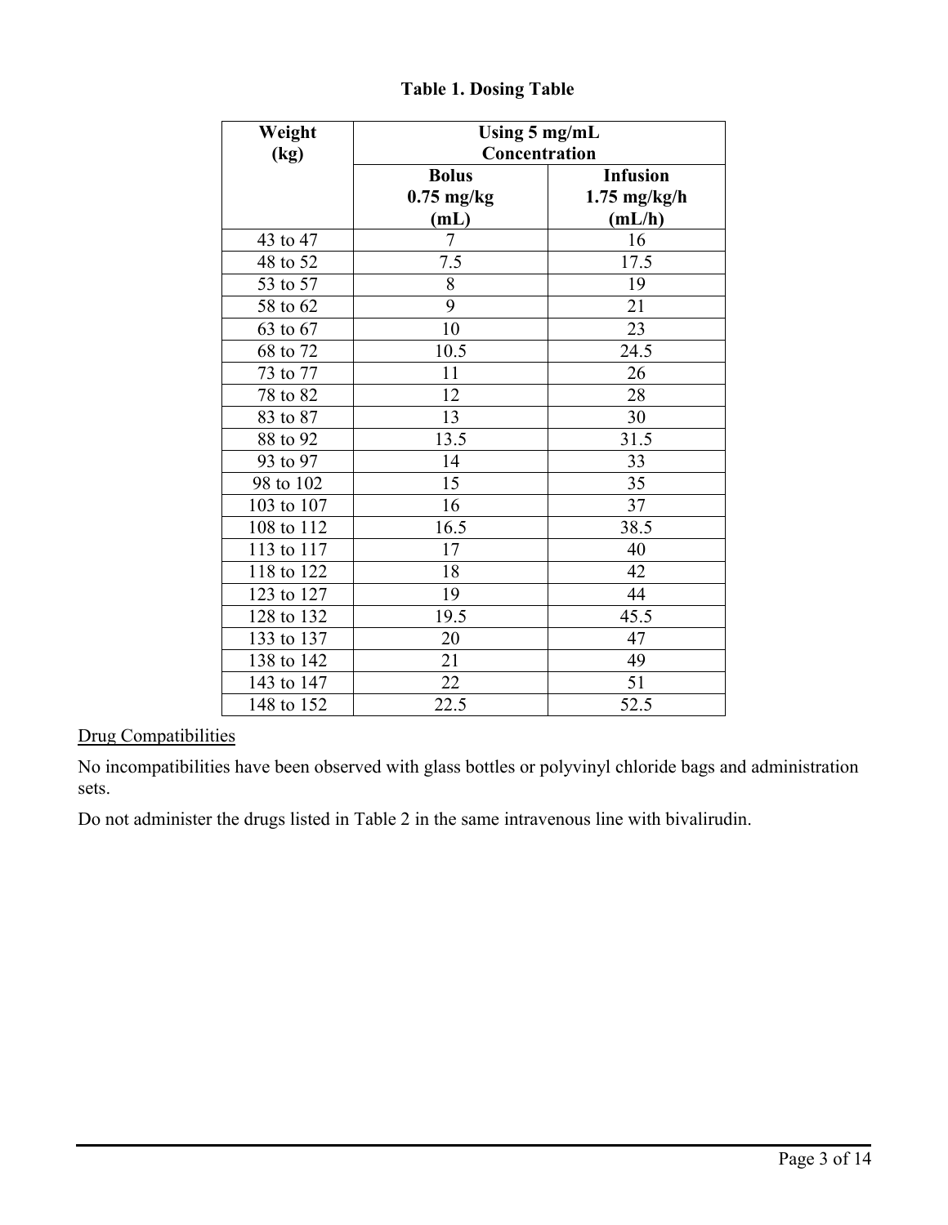| Weight     | Using 5 mg/mL                                    |                |  |
|------------|--------------------------------------------------|----------------|--|
| (kg)       | Concentration<br><b>Infusion</b><br><b>Bolus</b> |                |  |
|            | $0.75$ mg/kg                                     | $1.75$ mg/kg/h |  |
|            | (mL)                                             | (mL/h)         |  |
| 43 to 47   | $\tau$                                           | 16             |  |
| 48 to 52   | 7.5                                              | 17.5           |  |
| 53 to 57   | $\overline{8}$                                   | 19             |  |
| 58 to 62   | $\overline{9}$                                   | 21             |  |
| 63 to 67   | 10                                               | 23             |  |
| 68 to 72   | 10.5                                             | 24.5           |  |
| 73 to 77   | 11                                               | 26             |  |
| 78 to 82   | 12                                               | 28             |  |
| 83 to 87   | 13                                               | 30             |  |
| 88 to 92   | 13.5                                             | 31.5           |  |
| 93 to 97   | 14                                               | 33             |  |
| 98 to 102  | 15                                               | 35             |  |
| 103 to 107 | 16                                               | 37             |  |
| 108 to 112 | 16.5                                             | 38.5           |  |
| 113 to 117 | 17                                               | 40             |  |
| 118 to 122 | 18                                               | 42             |  |
| 123 to 127 | 19                                               | 44             |  |
| 128 to 132 | 19.5                                             | 45.5           |  |
| 133 to 137 | 20                                               | 47             |  |
| 138 to 142 | 21                                               | 49             |  |
| 143 to 147 | 22                                               | 51             |  |
| 148 to 152 | 22.5                                             | 52.5           |  |

# **Table 1. Dosing Table**

# Drug Compatibilities

No incompatibilities have been observed with glass bottles or polyvinyl chloride bags and administration sets.

Do not administer the drugs listed in Table 2 in the same intravenous line with bivalirudin.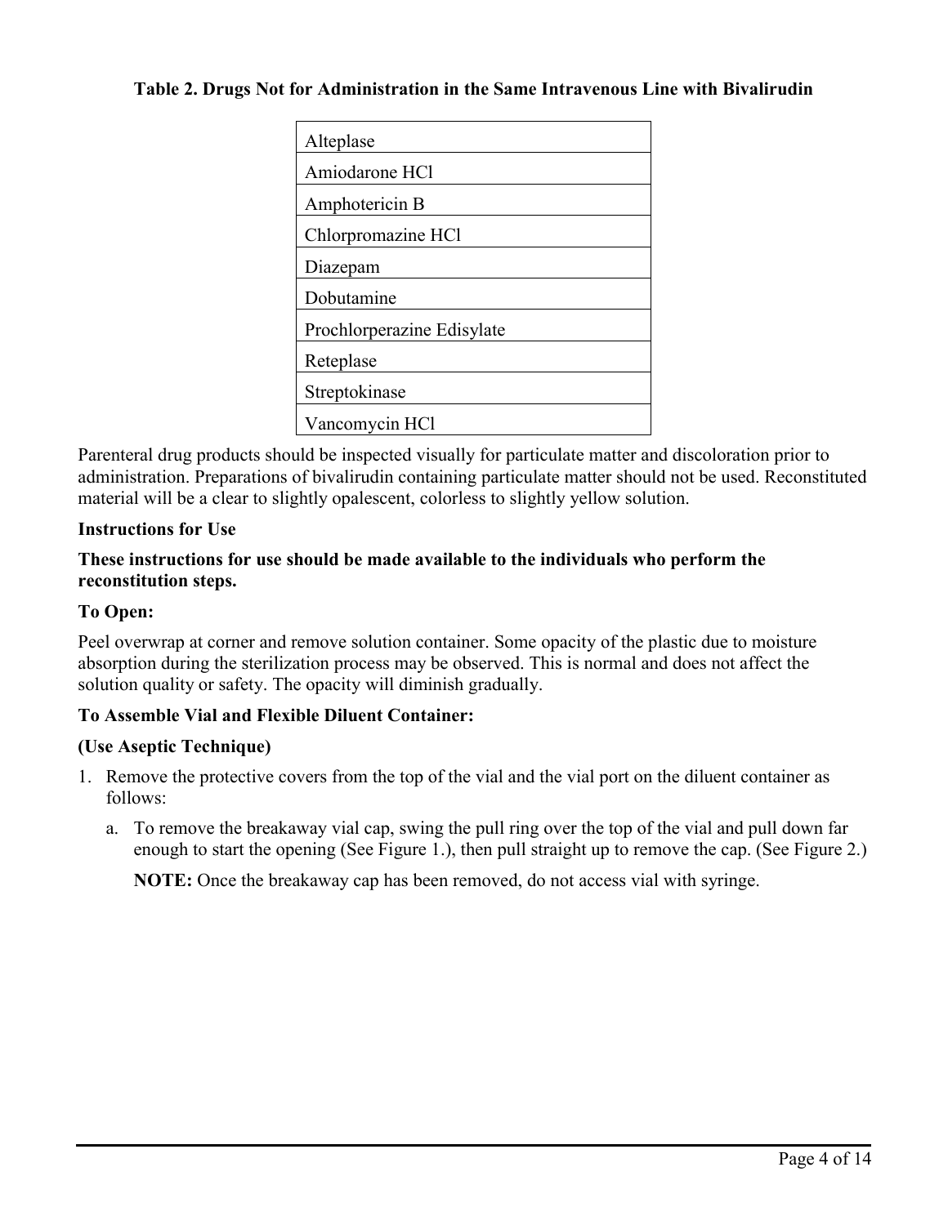### **Table 2. Drugs Not for Administration in the Same Intravenous Line with Bivalirudin**

Parenteral drug products should be inspected visually for particulate matter and discoloration prior to administration. Preparations of bivalirudin containing particulate matter should not be used. Reconstituted material will be a clear to slightly opalescent, colorless to slightly yellow solution.

### **Instructions for Use**

### **These instructions for use should be made available to the individuals who perform the reconstitution steps.**

### **To Open:**

Peel overwrap at corner and remove solution container. Some opacity of the plastic due to moisture absorption during the sterilization process may be observed. This is normal and does not affect the solution quality or safety. The opacity will diminish gradually.

### **To Assemble Vial and Flexible Diluent Container:**

#### **(Use Aseptic Technique)**

- 1. Remove the protective covers from the top of the vial and the vial port on the diluent container as follows:
	- a. To remove the breakaway vial cap, swing the pull ring over the top of the vial and pull down far enough to start the opening (See Figure 1.), then pull straight up to remove the cap. (See Figure 2.)

**NOTE:** Once the breakaway cap has been removed, do not access vial with syringe.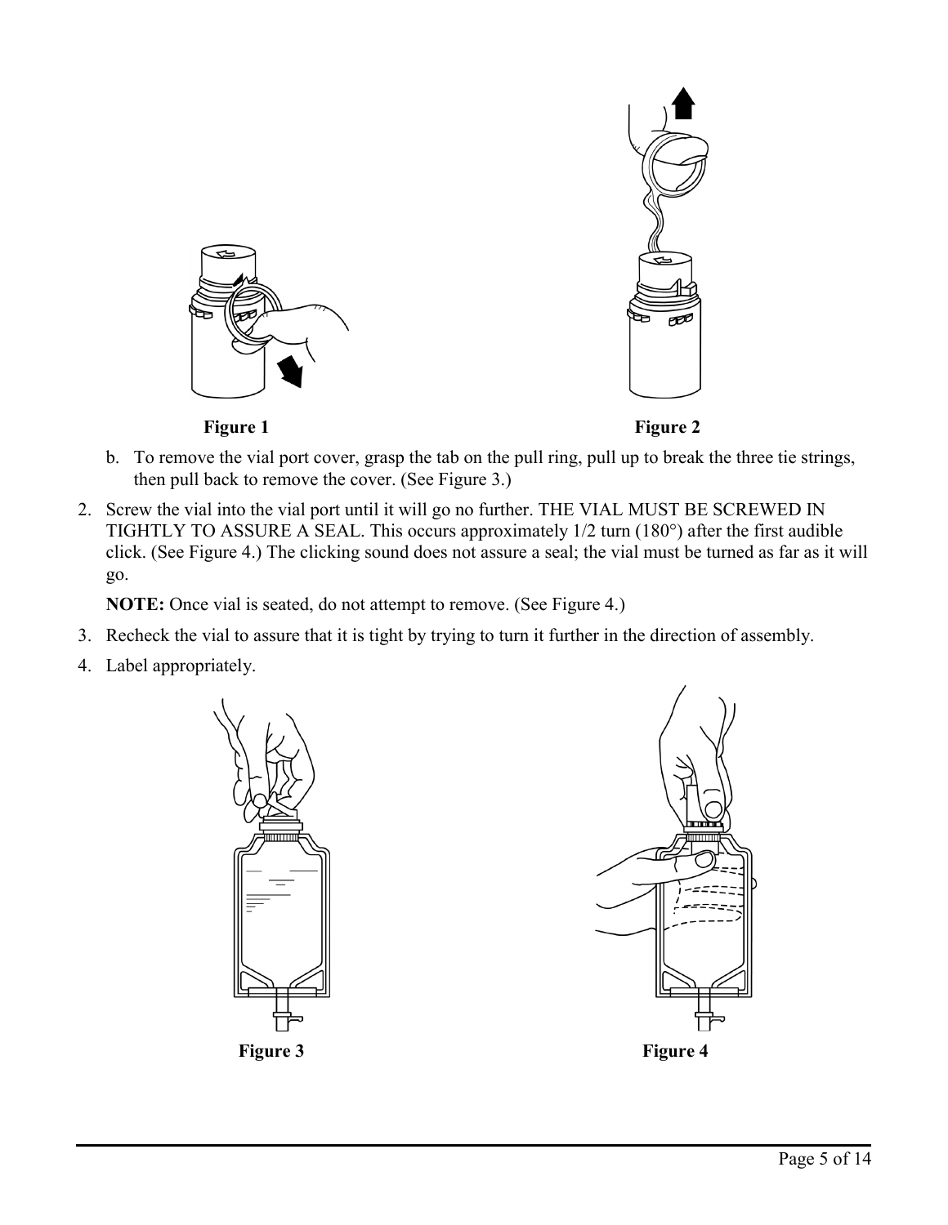

- b. To remove the vial port cover, grasp the tab on the pull ring, pull up to break the three tie strings, then pull back to remove the cover. (See Figure 3.)
- 2. Screw the vial into the vial port until it will go no further. THE VIAL MUST BE SCREWED IN TIGHTLY TO ASSURE A SEAL. This occurs approximately 1/2 turn (180°) after the first audible click. (See Figure 4.) The clicking sound does not assure a seal; the vial must be turned as far as it will go.

**NOTE:** Once vial is seated, do not attempt to remove. (See Figure 4.)

- 3. Recheck the vial to assure that it is tight by trying to turn it further in the direction of assembly.
- 4. Label appropriately.



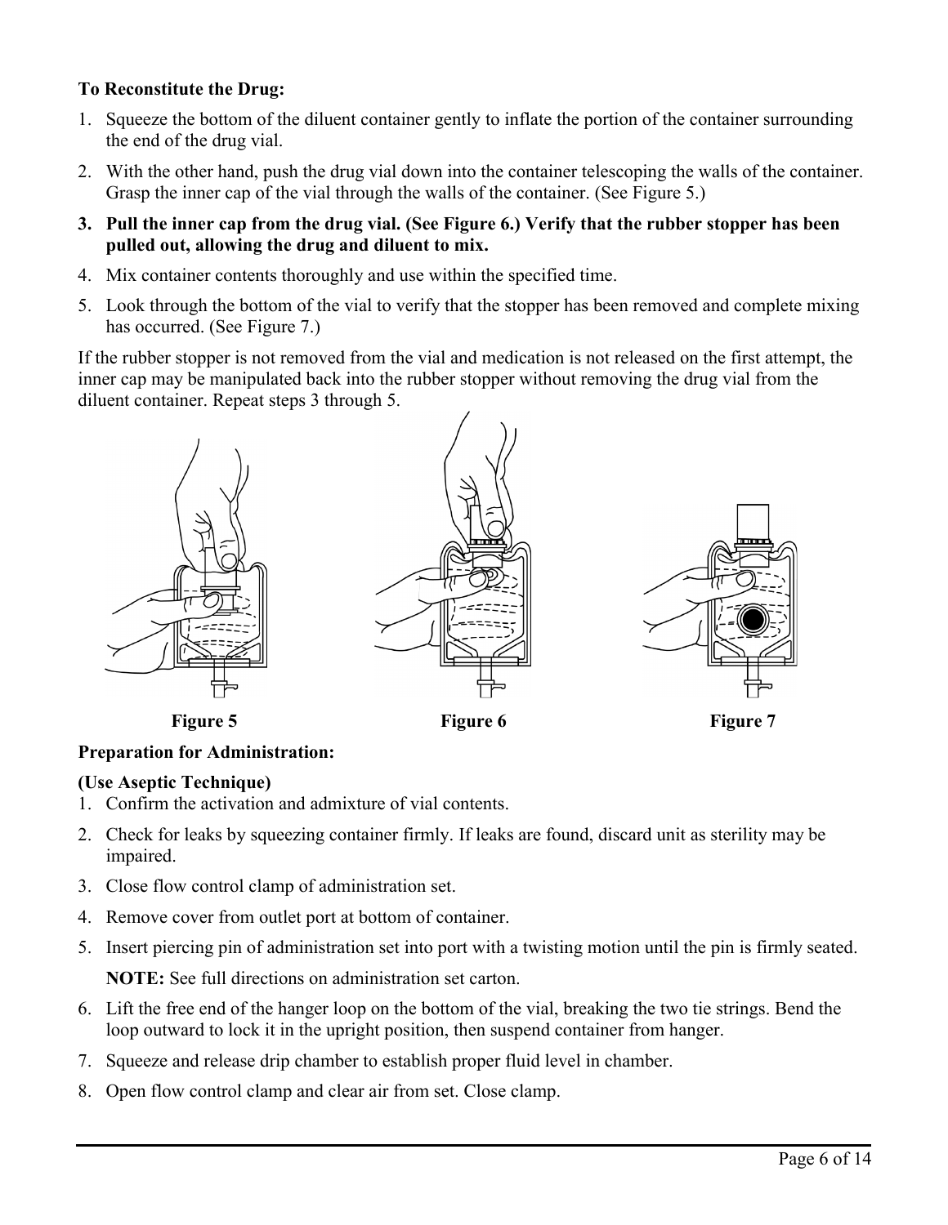# **To Reconstitute the Drug:**

- 1. Squeeze the bottom of the diluent container gently to inflate the portion of the container surrounding the end of the drug vial.
- 2. With the other hand, push the drug vial down into the container telescoping the walls of the container. Grasp the inner cap of the vial through the walls of the container. (See Figure 5.)
- **3. Pull the inner cap from the drug vial. (See Figure 6.) Verify that the rubber stopper has been pulled out, allowing the drug and diluent to mix.**
- 4. Mix container contents thoroughly and use within the specified time.
- 5. Look through the bottom of the vial to verify that the stopper has been removed and complete mixing has occurred. (See Figure 7.)

If the rubber stopper is not removed from the vial and medication is not released on the first attempt, the inner cap may be manipulated back into the rubber stopper without removing the drug vial from the diluent container. Repeat steps 3 through 5.



# **Preparation for Administration:**

### **(Use Aseptic Technique)**

- 1. Confirm the activation and admixture of vial contents.
- 2. Check for leaks by squeezing container firmly. If leaks are found, discard unit as sterility may be impaired.
- 3. Close flow control clamp of administration set.
- 4. Remove cover from outlet port at bottom of container.
- 5. Insert piercing pin of administration set into port with a twisting motion until the pin is firmly seated. **NOTE:** See full directions on administration set carton.
- 6. Lift the free end of the hanger loop on the bottom of the vial, breaking the two tie strings. Bend the loop outward to lock it in the upright position, then suspend container from hanger.
- 7. Squeeze and release drip chamber to establish proper fluid level in chamber.
- 8. Open flow control clamp and clear air from set. Close clamp.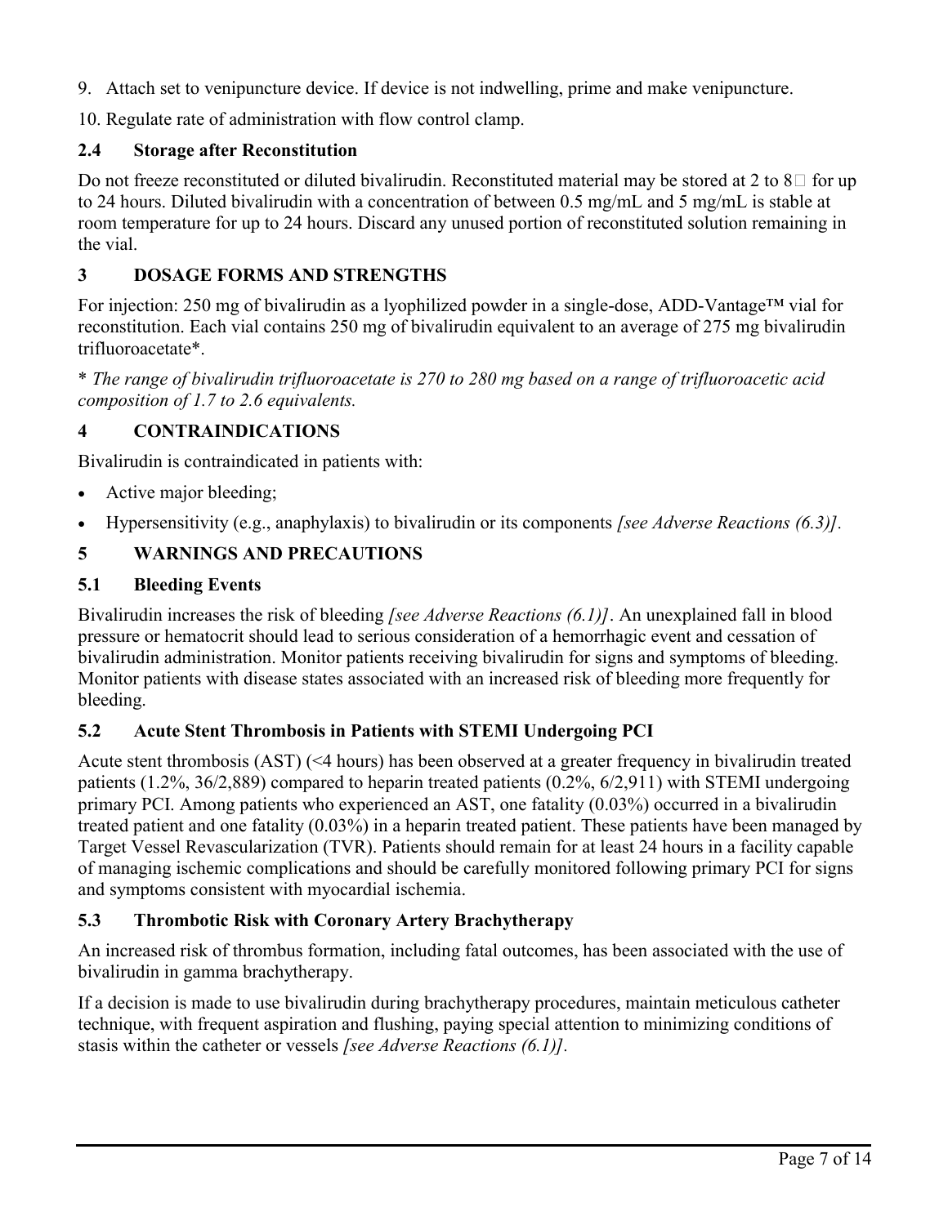9. Attach set to venipuncture device. If device is not indwelling, prime and make venipuncture.

10. Regulate rate of administration with flow control clamp.

### **2.4 Storage after Reconstitution**

Do not freeze reconstituted or diluted bivalirudin. Reconstituted material may be stored at 2 to  $8\degree$  for up to 24 hours. Diluted bivalirudin with a concentration of between 0.5 mg/mL and 5 mg/mL is stable at room temperature for up to 24 hours. Discard any unused portion of reconstituted solution remaining in the vial.

# **3 DOSAGE FORMS AND STRENGTHS**

For injection: 250 mg of bivalirudin as a lyophilized powder in a single-dose, ADD-Vantage™ vial for reconstitution. Each vial contains 250 mg of bivalirudin equivalent to an average of 275 mg bivalirudin trifluoroacetate\*.

\* *The range of bivalirudin trifluoroacetate is 270 to 280 mg based on a range of trifluoroacetic acid composition of 1.7 to 2.6 equivalents.*

# **4 CONTRAINDICATIONS**

Bivalirudin is contraindicated in patients with:

- Active major bleeding;
- Hypersensitivity (e.g., anaphylaxis) to bivalirudin or its components *[see Adverse Reactions (6.3)].*

# **5 WARNINGS AND PRECAUTIONS**

### **5.1 Bleeding Events**

Bivalirudin increases the risk of bleeding *[see Adverse Reactions (6.1)]*. An unexplained fall in blood pressure or hematocrit should lead to serious consideration of a hemorrhagic event and cessation of bivalirudin administration. Monitor patients receiving bivalirudin for signs and symptoms of bleeding. Monitor patients with disease states associated with an increased risk of bleeding more frequently for bleeding.

# **5.2 Acute Stent Thrombosis in Patients with STEMI Undergoing PCI**

Acute stent thrombosis (AST) (<4 hours) has been observed at a greater frequency in bivalirudin treated patients (1.2%, 36/2,889) compared to heparin treated patients (0.2%, 6/2,911) with STEMI undergoing primary PCI. Among patients who experienced an AST, one fatality (0.03%) occurred in a bivalirudin treated patient and one fatality (0.03%) in a heparin treated patient. These patients have been managed by Target Vessel Revascularization (TVR). Patients should remain for at least 24 hours in a facility capable of managing ischemic complications and should be carefully monitored following primary PCI for signs and symptoms consistent with myocardial ischemia.

# **5.3 Thrombotic Risk with Coronary Artery Brachytherapy**

An increased risk of thrombus formation, including fatal outcomes, has been associated with the use of bivalirudin in gamma brachytherapy.

If a decision is made to use bivalirudin during brachytherapy procedures, maintain meticulous catheter technique, with frequent aspiration and flushing, paying special attention to minimizing conditions of stasis within the catheter or vessels *[see Adverse Reactions (6.1)].*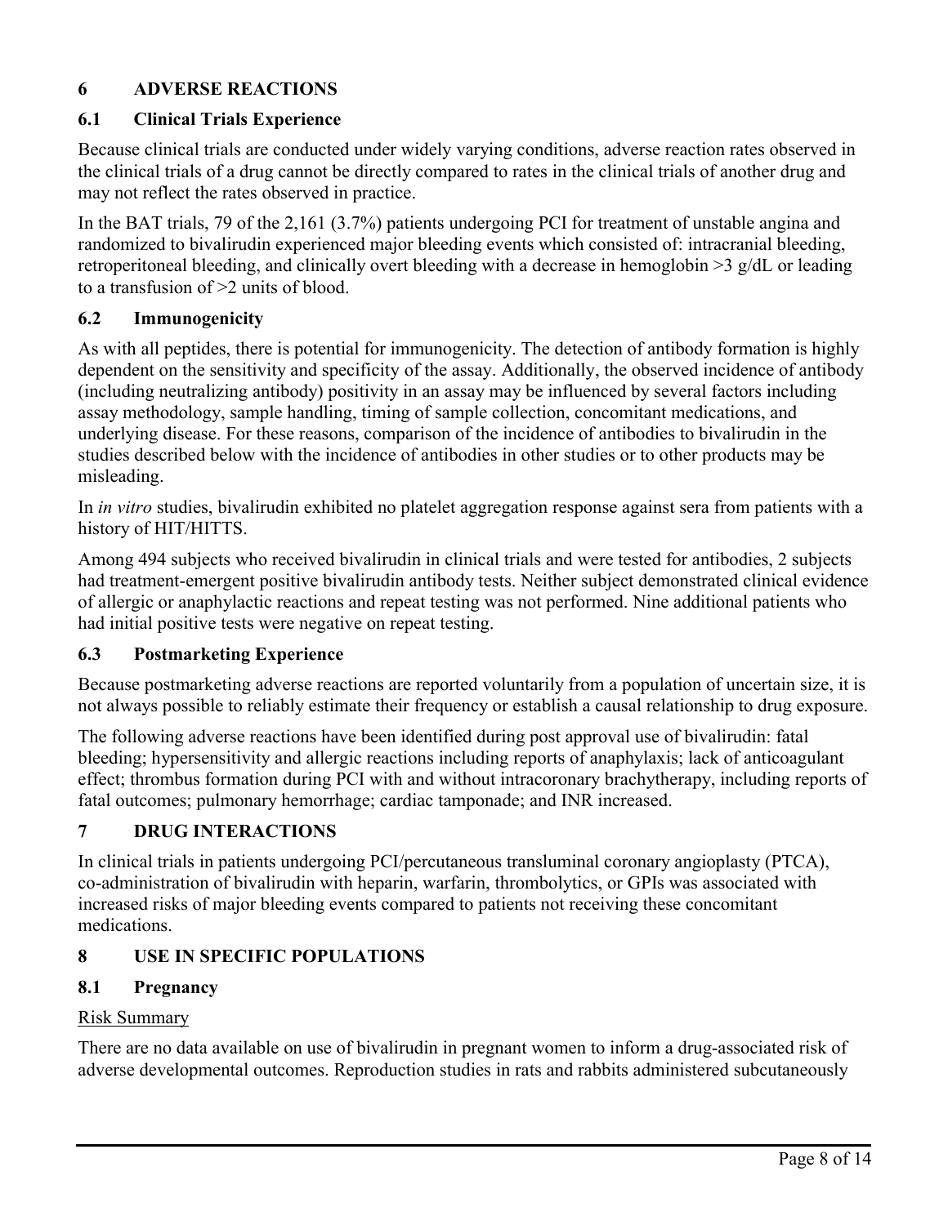# **6 ADVERSE REACTIONS**

### **6.1 Clinical Trials Experience**

Because clinical trials are conducted under widely varying conditions, adverse reaction rates observed in the clinical trials of a drug cannot be directly compared to rates in the clinical trials of another drug and may not reflect the rates observed in practice.

In the BAT trials, 79 of the 2,161 (3.7%) patients undergoing PCI for treatment of unstable angina and randomized to bivalirudin experienced major bleeding events which consisted of: intracranial bleeding, retroperitoneal bleeding, and clinically overt bleeding with a decrease in hemoglobin >3 g/dL or leading to a transfusion of >2 units of blood.

### **6.2 Immunogenicity**

As with all peptides, there is potential for immunogenicity. The detection of antibody formation is highly dependent on the sensitivity and specificity of the assay. Additionally, the observed incidence of antibody (including neutralizing antibody) positivity in an assay may be influenced by several factors including assay methodology, sample handling, timing of sample collection, concomitant medications, and underlying disease. For these reasons, comparison of the incidence of antibodies to bivalirudin in the studies described below with the incidence of antibodies in other studies or to other products may be misleading.

In *in vitro* studies, bivalirudin exhibited no platelet aggregation response against sera from patients with a history of HIT/HITTS.

Among 494 subjects who received bivalirudin in clinical trials and were tested for antibodies, 2 subjects had treatment-emergent positive bivalirudin antibody tests. Neither subject demonstrated clinical evidence of allergic or anaphylactic reactions and repeat testing was not performed. Nine additional patients who had initial positive tests were negative on repeat testing.

### **6.3 Postmarketing Experience**

Because postmarketing adverse reactions are reported voluntarily from a population of uncertain size, it is not always possible to reliably estimate their frequency or establish a causal relationship to drug exposure.

The following adverse reactions have been identified during post approval use of bivalirudin: fatal bleeding; hypersensitivity and allergic reactions including reports of anaphylaxis; lack of anticoagulant effect; thrombus formation during PCI with and without intracoronary brachytherapy, including reports of fatal outcomes; pulmonary hemorrhage; cardiac tamponade; and INR increased.

### **7 DRUG INTERACTIONS**

In clinical trials in patients undergoing PCI/percutaneous transluminal coronary angioplasty (PTCA), co-administration of bivalirudin with heparin, warfarin, thrombolytics, or GPIs was associated with increased risks of major bleeding events compared to patients not receiving these concomitant medications.

# **8 USE IN SPECIFIC POPULATIONS**

### **8.1 Pregnancy**

### Risk Summary

There are no data available on use of bivalirudin in pregnant women to inform a drug-associated risk of adverse developmental outcomes. Reproduction studies in rats and rabbits administered subcutaneously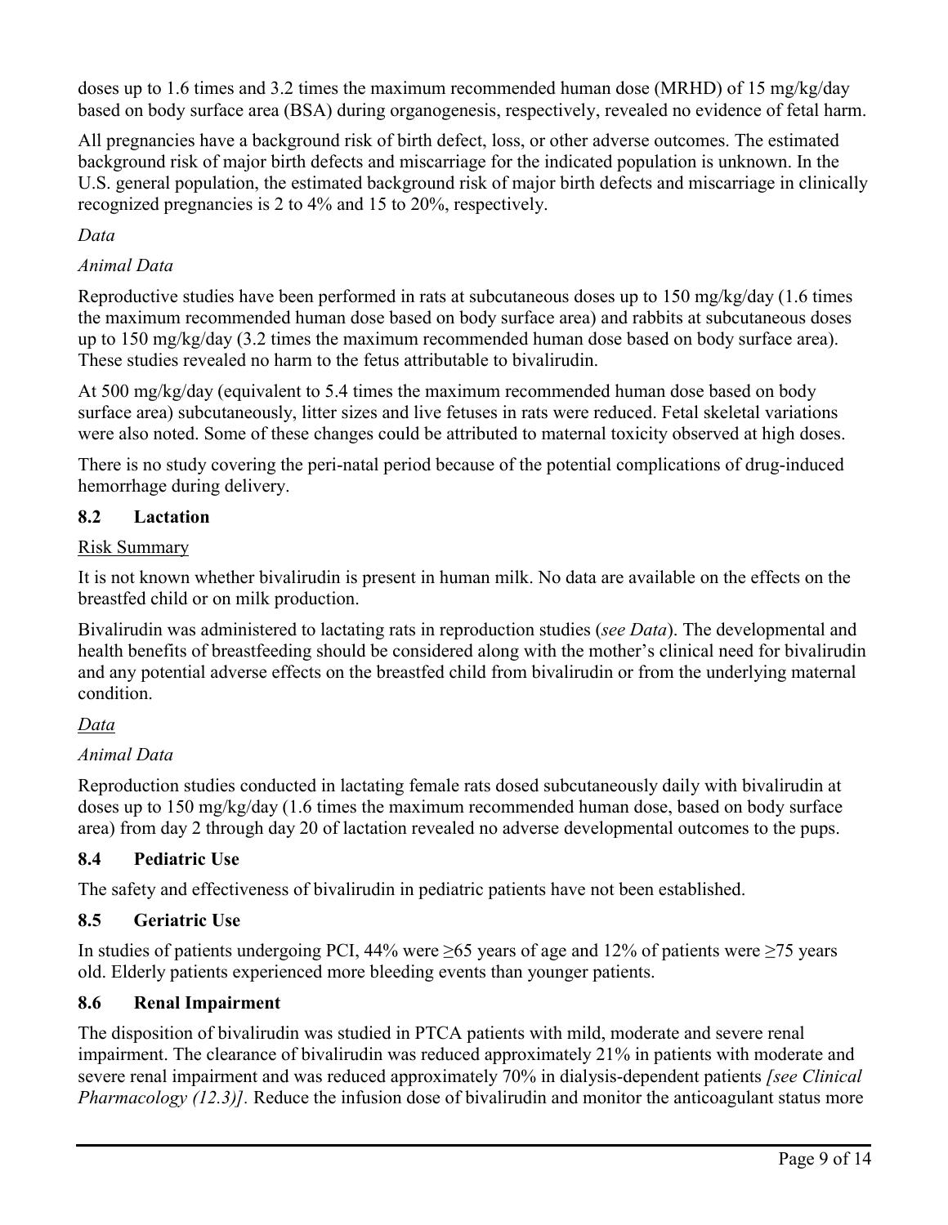doses up to 1.6 times and 3.2 times the maximum recommended human dose (MRHD) of 15 mg/kg/day based on body surface area (BSA) during organogenesis, respectively, revealed no evidence of fetal harm.

All pregnancies have a background risk of birth defect, loss, or other adverse outcomes. The estimated background risk of major birth defects and miscarriage for the indicated population is unknown. In the U.S. general population, the estimated background risk of major birth defects and miscarriage in clinically recognized pregnancies is 2 to 4% and 15 to 20%, respectively.

# *Data*

## *Animal Data*

Reproductive studies have been performed in rats at subcutaneous doses up to 150 mg/kg/day (1.6 times the maximum recommended human dose based on body surface area) and rabbits at subcutaneous doses up to 150 mg/kg/day (3.2 times the maximum recommended human dose based on body surface area). These studies revealed no harm to the fetus attributable to bivalirudin.

At 500 mg/kg/day (equivalent to 5.4 times the maximum recommended human dose based on body surface area) subcutaneously, litter sizes and live fetuses in rats were reduced. Fetal skeletal variations were also noted. Some of these changes could be attributed to maternal toxicity observed at high doses.

There is no study covering the peri-natal period because of the potential complications of drug-induced hemorrhage during delivery.

### **8.2 Lactation**

### Risk Summary

It is not known whether bivalirudin is present in human milk. No data are available on the effects on the breastfed child or on milk production.

Bivalirudin was administered to lactating rats in reproduction studies (*see Data*). The developmental and health benefits of breastfeeding should be considered along with the mother's clinical need for bivalirudin and any potential adverse effects on the breastfed child from bivalirudin or from the underlying maternal condition.

# *Data*

# *Animal Data*

Reproduction studies conducted in lactating female rats dosed subcutaneously daily with bivalirudin at doses up to 150 mg/kg/day (1.6 times the maximum recommended human dose, based on body surface area) from day 2 through day 20 of lactation revealed no adverse developmental outcomes to the pups.

# **8.4 Pediatric Use**

The safety and effectiveness of bivalirudin in pediatric patients have not been established.

# **8.5 Geriatric Use**

In studies of patients undergoing PCI, 44% were  $\geq 65$  years of age and 12% of patients were  $\geq 75$  years old. Elderly patients experienced more bleeding events than younger patients.

# **8.6 Renal Impairment**

The disposition of bivalirudin was studied in PTCA patients with mild, moderate and severe renal impairment. The clearance of bivalirudin was reduced approximately 21% in patients with moderate and severe renal impairment and was reduced approximately 70% in dialysis-dependent patients *[see Clinical Pharmacology* (12.3)]. Reduce the infusion dose of bivalirudin and monitor the anticoagulant status more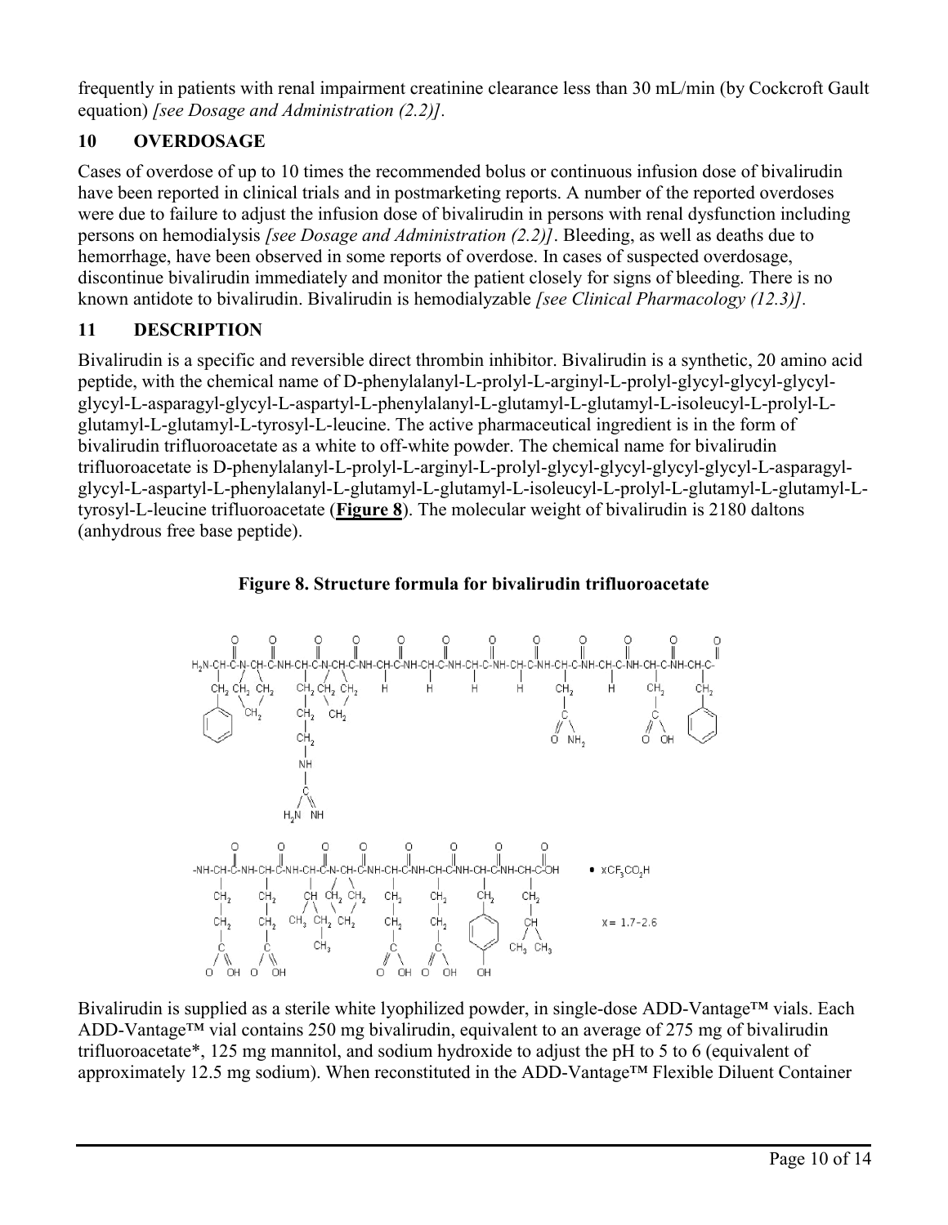frequently in patients with renal impairment creatinine clearance less than 30 mL/min (by Cockcroft Gault equation) *[see Dosage and Administration (2.2)].*

# **10 OVERDOSAGE**

Cases of overdose of up to 10 times the recommended bolus or continuous infusion dose of bivalirudin have been reported in clinical trials and in postmarketing reports. A number of the reported overdoses were due to failure to adjust the infusion dose of bivalirudin in persons with renal dysfunction including persons on hemodialysis *[see Dosage and Administration (2.2)]*. Bleeding, as well as deaths due to hemorrhage, have been observed in some reports of overdose. In cases of suspected overdosage, discontinue bivalirudin immediately and monitor the patient closely for signs of bleeding. There is no known antidote to bivalirudin. Bivalirudin is hemodialyzable *[see Clinical Pharmacology (12.3)].*

# **11 DESCRIPTION**

Bivalirudin is a specific and reversible direct thrombin inhibitor. Bivalirudin is a synthetic, 20 amino acid peptide, with the chemical name of D-phenylalanyl-L-prolyl-L-arginyl-L-prolyl-glycyl-glycyl-glycylglycyl-L-asparagyl-glycyl-L-aspartyl-L-phenylalanyl-L-glutamyl-L-glutamyl-L-isoleucyl-L-prolyl-Lglutamyl-L-glutamyl-L-tyrosyl-L-leucine. The active pharmaceutical ingredient is in the form of bivalirudin trifluoroacetate as a white to off-white powder. The chemical name for bivalirudin trifluoroacetate is D-phenylalanyl-L-prolyl-L-arginyl-L-prolyl-glycyl-glycyl-glycyl-glycyl-L-asparagylglycyl-L-aspartyl-L-phenylalanyl-L-glutamyl-L-glutamyl-L-isoleucyl-L-prolyl-L-glutamyl-L-glutamyl-Ltyrosyl-L-leucine trifluoroacetate (**Figure 8**). The molecular weight of bivalirudin is 2180 daltons (anhydrous free base peptide).

# **Figure 8. Structure formula for bivalirudin trifluoroacetate**



Bivalirudin is supplied as a sterile white lyophilized powder, in single-dose ADD-Vantage™ vials. Each ADD-Vantage™ vial contains 250 mg bivalirudin, equivalent to an average of 275 mg of bivalirudin trifluoroacetate\*, 125 mg mannitol, and sodium hydroxide to adjust the pH to 5 to 6 (equivalent of approximately 12.5 mg sodium). When reconstituted in the ADD-Vantage™ Flexible Diluent Container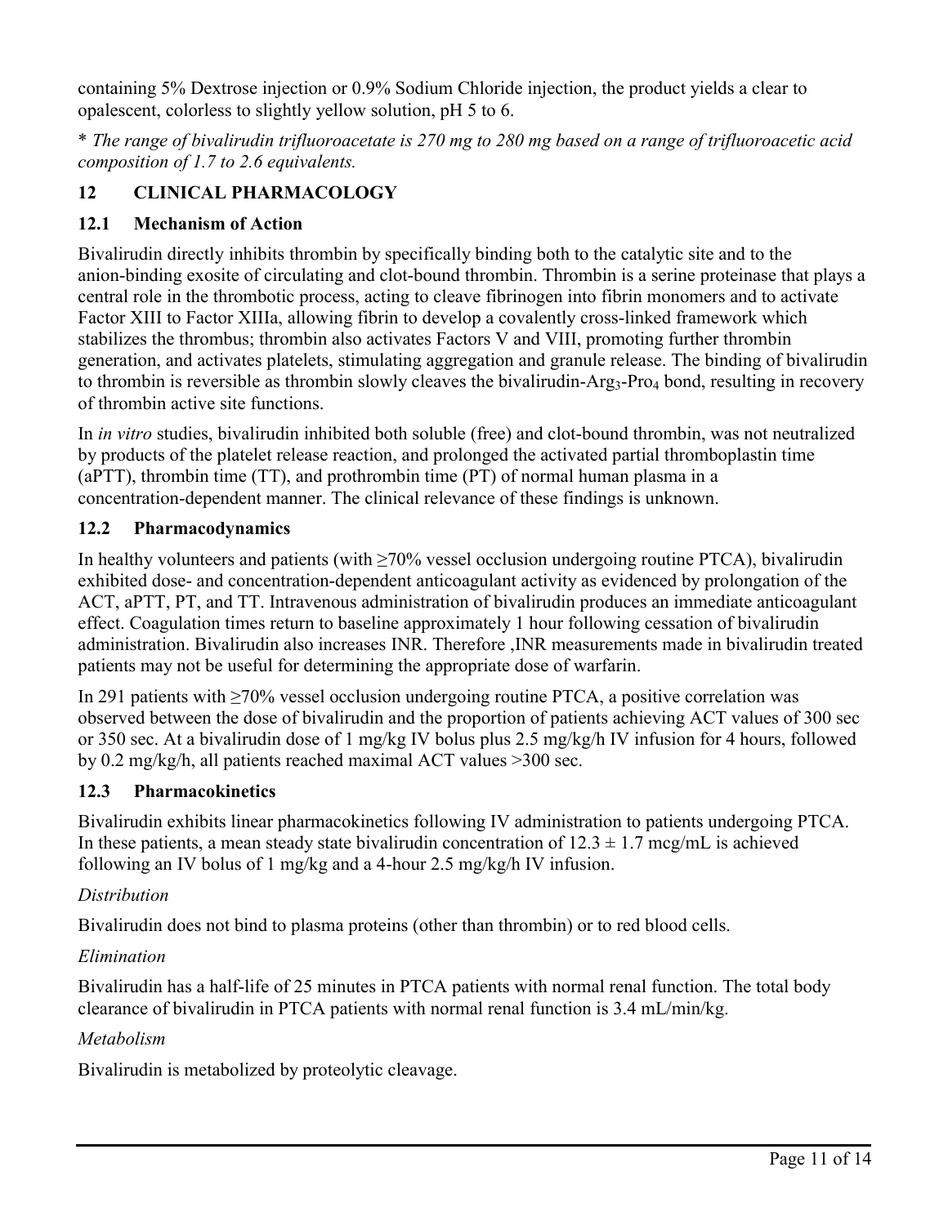containing 5% Dextrose injection or 0.9% Sodium Chloride injection, the product yields a clear to opalescent, colorless to slightly yellow solution, pH 5 to 6.

\* *The range of bivalirudin trifluoroacetate is 270 mg to 280 mg based on a range of trifluoroacetic acid composition of 1.7 to 2.6 equivalents.*

# **12 CLINICAL PHARMACOLOGY**

# **12.1 Mechanism of Action**

Bivalirudin directly inhibits thrombin by specifically binding both to the catalytic site and to the anion-binding exosite of circulating and clot-bound thrombin. Thrombin is a serine proteinase that plays a central role in the thrombotic process, acting to cleave fibrinogen into fibrin monomers and to activate Factor XIII to Factor XIIIa, allowing fibrin to develop a covalently cross-linked framework which stabilizes the thrombus; thrombin also activates Factors V and VIII, promoting further thrombin generation, and activates platelets, stimulating aggregation and granule release. The binding of bivalirudin to thrombin is reversible as thrombin slowly cleaves the bivalirudin-Arg<sub>3</sub>-Pro<sub>4</sub> bond, resulting in recovery of thrombin active site functions.

In *in vitro* studies, bivalirudin inhibited both soluble (free) and clot-bound thrombin, was not neutralized by products of the platelet release reaction, and prolonged the activated partial thromboplastin time (aPTT), thrombin time (TT), and prothrombin time (PT) of normal human plasma in a concentration-dependent manner. The clinical relevance of these findings is unknown.

# **12.2 Pharmacodynamics**

In healthy volunteers and patients (with  $\geq$ 70% vessel occlusion undergoing routine PTCA), bivalirudin exhibited dose- and concentration-dependent anticoagulant activity as evidenced by prolongation of the ACT, aPTT, PT, and TT. Intravenous administration of bivalirudin produces an immediate anticoagulant effect. Coagulation times return to baseline approximately 1 hour following cessation of bivalirudin administration. Bivalirudin also increases INR. Therefore ,INR measurements made in bivalirudin treated patients may not be useful for determining the appropriate dose of warfarin.

In 291 patients with ≥70% vessel occlusion undergoing routine PTCA, a positive correlation was observed between the dose of bivalirudin and the proportion of patients achieving ACT values of 300 sec or 350 sec. At a bivalirudin dose of 1 mg/kg IV bolus plus 2.5 mg/kg/h IV infusion for 4 hours, followed by 0.2 mg/kg/h, all patients reached maximal ACT values >300 sec.

# **12.3 Pharmacokinetics**

Bivalirudin exhibits linear pharmacokinetics following IV administration to patients undergoing PTCA. In these patients, a mean steady state bivalirudin concentration of  $12.3 \pm 1.7$  mcg/mL is achieved following an IV bolus of 1 mg/kg and a 4-hour 2.5 mg/kg/h IV infusion.

# *Distribution*

Bivalirudin does not bind to plasma proteins (other than thrombin) or to red blood cells.

# *Elimination*

Bivalirudin has a half-life of 25 minutes in PTCA patients with normal renal function. The total body clearance of bivalirudin in PTCA patients with normal renal function is 3.4 mL/min/kg.

# *Metabolism*

Bivalirudin is metabolized by proteolytic cleavage.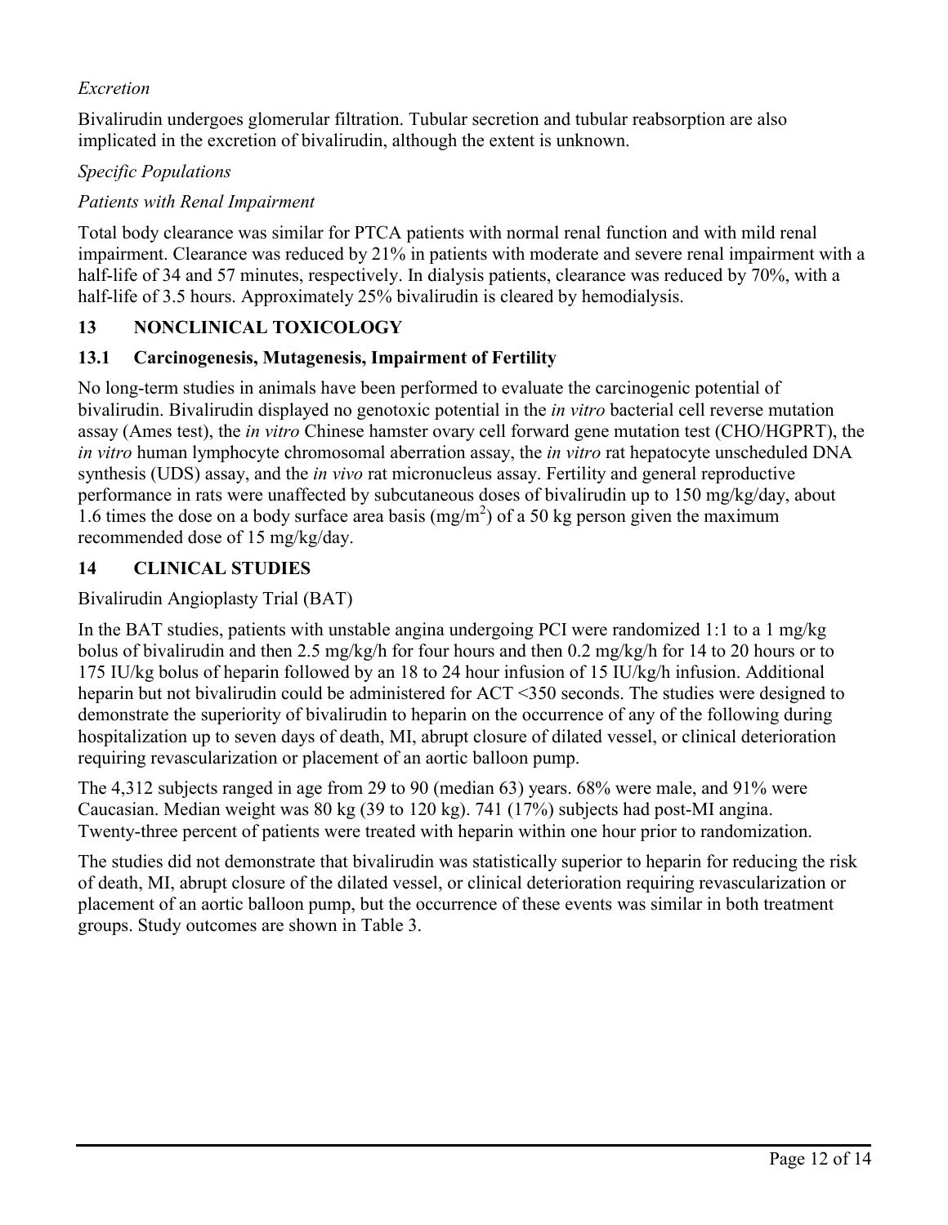## *Excretion*

Bivalirudin undergoes glomerular filtration. Tubular secretion and tubular reabsorption are also implicated in the excretion of bivalirudin, although the extent is unknown.

### *Specific Populations*

### *Patients with Renal Impairment*

Total body clearance was similar for PTCA patients with normal renal function and with mild renal impairment. Clearance was reduced by 21% in patients with moderate and severe renal impairment with a half-life of 34 and 57 minutes, respectively. In dialysis patients, clearance was reduced by 70%, with a half-life of 3.5 hours. Approximately 25% bivalirudin is cleared by hemodialysis.

# **13 NONCLINICAL TOXICOLOGY**

### **13.1 Carcinogenesis, Mutagenesis, Impairment of Fertility**

No long-term studies in animals have been performed to evaluate the carcinogenic potential of bivalirudin. Bivalirudin displayed no genotoxic potential in the *in vitro* bacterial cell reverse mutation assay (Ames test), the *in vitro* Chinese hamster ovary cell forward gene mutation test (CHO/HGPRT), the *in vitro* human lymphocyte chromosomal aberration assay, the *in vitro* rat hepatocyte unscheduled DNA synthesis (UDS) assay, and the *in vivo* rat micronucleus assay. Fertility and general reproductive performance in rats were unaffected by subcutaneous doses of bivalirudin up to 150 mg/kg/day, about 1.6 times the dose on a body surface area basis  $(mg/m<sup>2</sup>)$  of a 50 kg person given the maximum recommended dose of 15 mg/kg/day.

# **14 CLINICAL STUDIES**

### Bivalirudin Angioplasty Trial (BAT)

In the BAT studies, patients with unstable angina undergoing PCI were randomized 1:1 to a 1 mg/kg bolus of bivalirudin and then 2.5 mg/kg/h for four hours and then 0.2 mg/kg/h for 14 to 20 hours or to 175 IU/kg bolus of heparin followed by an 18 to 24 hour infusion of 15 IU/kg/h infusion. Additional heparin but not bivalirudin could be administered for ACT <350 seconds. The studies were designed to demonstrate the superiority of bivalirudin to heparin on the occurrence of any of the following during hospitalization up to seven days of death, MI, abrupt closure of dilated vessel, or clinical deterioration requiring revascularization or placement of an aortic balloon pump.

The 4,312 subjects ranged in age from 29 to 90 (median 63) years. 68% were male, and 91% were Caucasian. Median weight was 80 kg (39 to 120 kg). 741 (17%) subjects had post-MI angina. Twenty-three percent of patients were treated with heparin within one hour prior to randomization.

The studies did not demonstrate that bivalirudin was statistically superior to heparin for reducing the risk of death, MI, abrupt closure of the dilated vessel, or clinical deterioration requiring revascularization or placement of an aortic balloon pump, but the occurrence of these events was similar in both treatment groups. Study outcomes are shown in Table 3.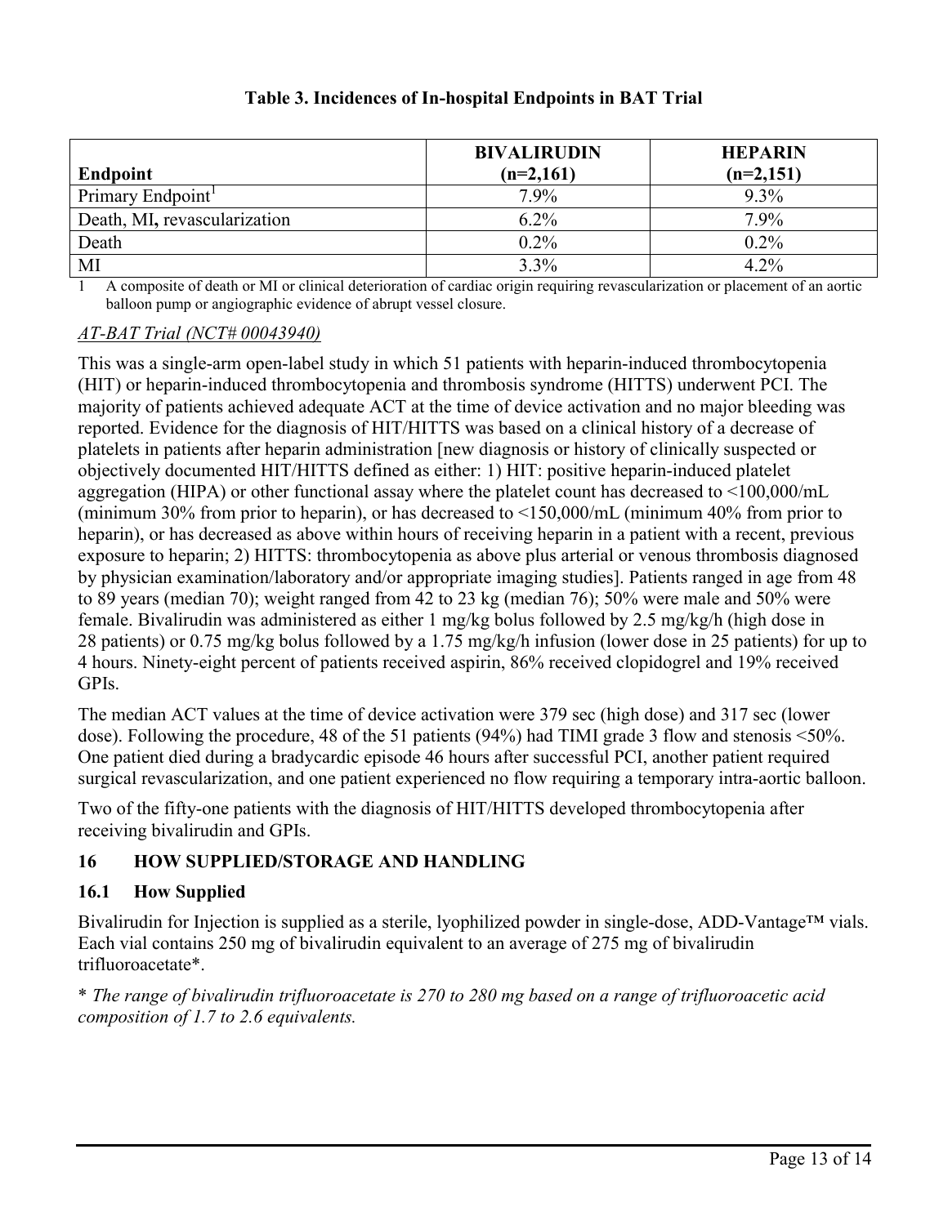| <b>Endpoint</b>               | <b>BIVALIRUDIN</b><br>$(n=2,161)$ | <b>HEPARIN</b><br>$(n=2,151)$ |
|-------------------------------|-----------------------------------|-------------------------------|
| Primary Endpoint <sup>1</sup> | 7.9%                              | $9.3\%$                       |
| Death, MI, revascularization  | $6.2\%$                           | 7.9%                          |
| Death                         | $0.2\%$                           | $0.2\%$                       |
| MI                            | 3.3%                              | $4.2\%$                       |

# **Table 3. Incidences of In-hospital Endpoints in BAT Trial**

1 A composite of death or MI or clinical deterioration of cardiac origin requiring revascularization or placement of an aortic balloon pump or angiographic evidence of abrupt vessel closure.

### *AT-BAT Trial (NCT# 00043940)*

This was a single-arm open-label study in which 51 patients with heparin-induced thrombocytopenia (HIT) or heparin-induced thrombocytopenia and thrombosis syndrome (HITTS) underwent PCI. The majority of patients achieved adequate ACT at the time of device activation and no major bleeding was reported. Evidence for the diagnosis of HIT/HITTS was based on a clinical history of a decrease of platelets in patients after heparin administration [new diagnosis or history of clinically suspected or objectively documented HIT/HITTS defined as either: 1) HIT: positive heparin-induced platelet aggregation (HIPA) or other functional assay where the platelet count has decreased to <100,000/mL (minimum 30% from prior to heparin), or has decreased to <150,000/mL (minimum 40% from prior to heparin), or has decreased as above within hours of receiving heparin in a patient with a recent, previous exposure to heparin; 2) HITTS: thrombocytopenia as above plus arterial or venous thrombosis diagnosed by physician examination/laboratory and/or appropriate imaging studies]. Patients ranged in age from 48 to 89 years (median 70); weight ranged from 42 to 23 kg (median 76); 50% were male and 50% were female. Bivalirudin was administered as either 1 mg/kg bolus followed by 2.5 mg/kg/h (high dose in 28 patients) or 0.75 mg/kg bolus followed by a 1.75 mg/kg/h infusion (lower dose in 25 patients) for up to 4 hours. Ninety-eight percent of patients received aspirin, 86% received clopidogrel and 19% received GPIs.

The median ACT values at the time of device activation were 379 sec (high dose) and 317 sec (lower dose). Following the procedure, 48 of the 51 patients (94%) had TIMI grade 3 flow and stenosis <50%. One patient died during a bradycardic episode 46 hours after successful PCI, another patient required surgical revascularization, and one patient experienced no flow requiring a temporary intra-aortic balloon.

Two of the fifty-one patients with the diagnosis of HIT/HITTS developed thrombocytopenia after receiving bivalirudin and GPIs.

# **16 HOW SUPPLIED/STORAGE AND HANDLING**

# **16.1 How Supplied**

Bivalirudin for Injection is supplied as a sterile, lyophilized powder in single-dose, ADD-Vantage™ vials. Each vial contains 250 mg of bivalirudin equivalent to an average of 275 mg of bivalirudin trifluoroacetate\*.

\* *The range of bivalirudin trifluoroacetate is 270 to 280 mg based on a range of trifluoroacetic acid composition of 1.7 to 2.6 equivalents.*